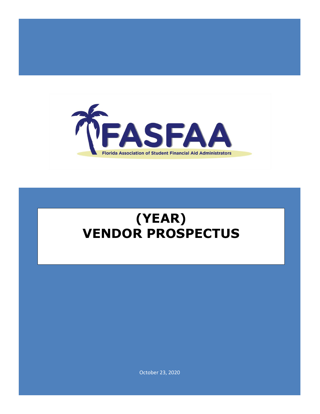

# **(YEAR) VENDOR PROSPECTUS**

October 23, 2020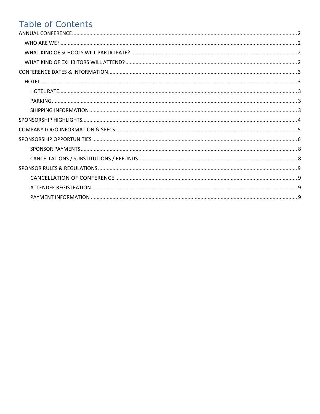# **Table of Contents**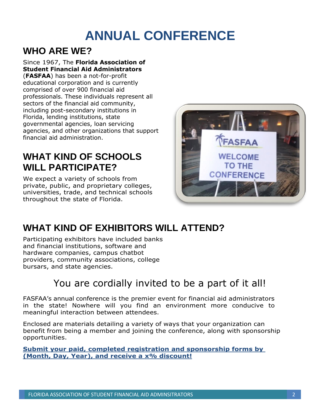# **ANNUAL CONFERENCE**

### <span id="page-2-1"></span><span id="page-2-0"></span>**WHO ARE WE?**

Since 1967, The **Florida Association of Student Financial Aid Administrators** (**FASFAA**) has been a not-for-profit educational corporation and is currently comprised of over 900 financial aid professionals. These individuals represent all sectors of the financial aid community, including post-secondary institutions in Florida, lending institutions, state governmental agencies, loan servicing agencies, and other organizations that support financial aid administration.

### <span id="page-2-2"></span>**WHAT KIND OF SCHOOLS WILL PARTICIPATE?**

We expect a variety of schools from private, public, and proprietary colleges, universities, trade, and technical schools throughout the state of Florida.



## <span id="page-2-3"></span>**WHAT KIND OF EXHIBITORS WILL ATTEND?**

Participating exhibitors have included banks and financial institutions, software and hardware companies, campus chatbot providers, community associations, college bursars, and state agencies.

### You are cordially invited to be a part of it all!

FASFAA's annual conference is the premier event for financial aid administrators in the state! Nowhere will you find an environment more conducive to meaningful interaction between attendees.

Enclosed are materials detailing a variety of ways that your organization can benefit from being a member and joining the conference, along with sponsorship opportunities.

**Submit your paid, completed registration and sponsorship forms by (Month, Day, Year), and receive a x% discount!**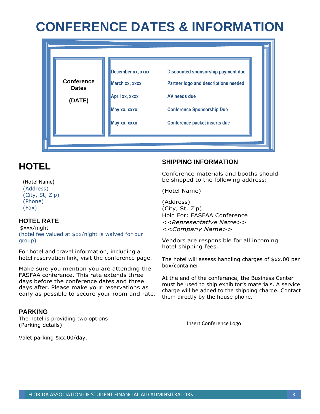# <span id="page-3-0"></span>**CONFERENCE DATES & INFORMATION**

|                                   | December xx, xxxx              | Discounted sponsorship payment due                |  |
|-----------------------------------|--------------------------------|---------------------------------------------------|--|
| <b>Conference</b><br><b>Dates</b> | March xx, xxxx                 | Partner logo and descriptions needed              |  |
| (DATE)                            | April xx, xxxx<br>May xx, xxxx | AV needs due<br><b>Conference Sponsorship Due</b> |  |
|                                   | May xx, xxxx                   | <b>Conference packet inserts due</b>              |  |
|                                   |                                |                                                   |  |

### <span id="page-3-1"></span>**HOTEL**

#### (Hotel Name)

(Address) (City, St, Zip) (Phone) (Fax)

### <span id="page-3-2"></span>**HOTEL RATE**

\$xxx/night (hotel fee valued at \$xx/night is waived for our group)

For hotel and travel information, including a hotel reservation link, visit the conference page.

Make sure you mention you are attending the FASFAA conference. This rate extends three days before the conference dates and three days after. Please make your reservations as early as possible to secure your room and rate.

#### <span id="page-3-3"></span>**PARKING**

The hotel is providing two options (Parking details)

Valet parking \$xx.00/day.

#### <span id="page-3-4"></span>**SHIPPING INFORMATION**

Conference materials and booths should be shipped to the following address:

(Hotel Name)

(Address) (City, St. Zip) Hold For: FASFAA Conference *<<Representative Name>> <<Company Name>>*

Vendors are responsible for all incoming hotel shipping fees.

The hotel will assess handling charges of \$xx.00 per box/container

At the end of the conference, the Business Center must be used to ship exhibitor's materials. A service charge will be added to the shipping charge. Contact them directly by the house phone.

Insert Conference Logo

FLORIDA ASSOCIATION OF STUDENT FINANCIAL AID ADMINSITRATORS 3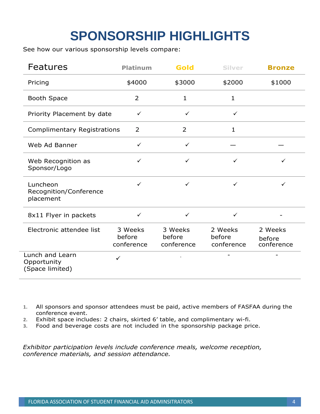# **SPONSORSHIP HIGHLIGHTS**

<span id="page-4-0"></span>See how our various sponsorship levels compare:

| <b>Features</b>                                   | <b>Platinum</b>                 | Gold                            | <b>Silver</b>                   | <b>Bronze</b>                   |
|---------------------------------------------------|---------------------------------|---------------------------------|---------------------------------|---------------------------------|
| Pricing                                           | \$4000                          | \$3000                          | \$2000                          | \$1000                          |
| <b>Booth Space</b>                                | 2                               | $\mathbf{1}$                    | $\mathbf{1}$                    |                                 |
| Priority Placement by date                        | $\checkmark$                    | $\checkmark$                    | $\checkmark$                    |                                 |
| <b>Complimentary Registrations</b>                | $\overline{2}$                  | $\overline{2}$                  | 1                               |                                 |
| Web Ad Banner                                     | $\checkmark$                    | $\checkmark$                    |                                 |                                 |
| Web Recognition as<br>Sponsor/Logo                | ✓                               | $\checkmark$                    | $\checkmark$                    | ✓                               |
| Luncheon<br>Recognition/Conference<br>placement   | ✓                               | $\checkmark$                    | $\checkmark$                    | $\checkmark$                    |
| 8x11 Flyer in packets                             | $\checkmark$                    | $\checkmark$                    | $\checkmark$                    |                                 |
| Electronic attendee list                          | 3 Weeks<br>before<br>conference | 3 Weeks<br>before<br>conference | 2 Weeks<br>before<br>conference | 2 Weeks<br>before<br>conference |
| Lunch and Learn<br>Opportunity<br>(Space limited) | ✓                               |                                 |                                 |                                 |

- **1.** All sponsors and sponsor attendees must be paid, active members of FASFAA during the conference event.
- **2.** Exhibit space includes: 2 chairs, skirted 6' table, and complimentary wi-fi.
- **3.** Food and beverage costs are not included in the sponsorship package price.

*Exhibitor participation levels include conference meals, welcome reception, conference materials, and session attendance.*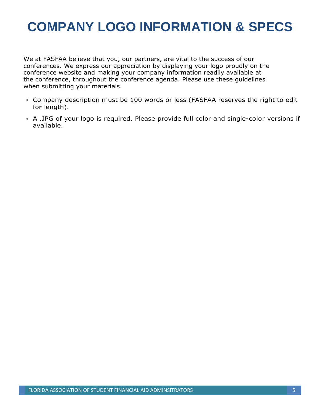# <span id="page-5-0"></span>**COMPANY LOGO INFORMATION & SPECS**

We at FASFAA believe that you, our partners, are vital to the success of our conferences. We express our appreciation by displaying your logo proudly on the conference website and making your company information readily available at the conference, throughout the conference agenda. Please use these guidelines when submitting your materials.

- Company description must be 100 words or less (FASFAA reserves the right to edit for length).
- A .JPG of your logo is required. Please provide full color and single-color versions if available.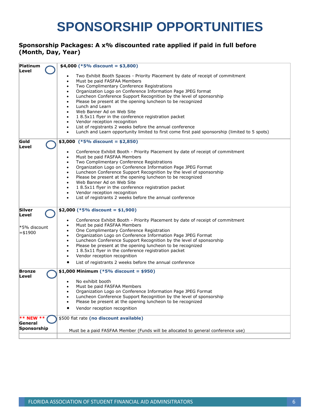# **SPONSORSHIP OPPORTUNITIES**

#### <span id="page-6-0"></span>**Sponsorship Packages: A x% discounted rate applied if paid in full before (Month, Day, Year)**

| Platinum<br>Level      | \$4,000 (*5% discount = \$3,800)                                                                                           |
|------------------------|----------------------------------------------------------------------------------------------------------------------------|
|                        | Two Exhibit Booth Spaces - Priority Placement by date of receipt of commitment                                             |
|                        | Must be paid FASFAA Members<br>٠                                                                                           |
|                        | Two Complimentary Conference Registrations<br>٠                                                                            |
|                        | Organization Logo on Conference Information Page JPEG format<br>$\bullet$                                                  |
|                        | Luncheon Conference Support Recognition by the level of sponsorship                                                        |
|                        | Please be present at the opening luncheon to be recognized                                                                 |
|                        | Lunch and Learn<br>$\bullet$                                                                                               |
|                        | Web Banner Ad on Web Site                                                                                                  |
|                        | 18.5x11 flyer in the conference registration packet<br>٠                                                                   |
|                        | Vendor reception recognition<br>$\bullet$                                                                                  |
|                        | List of registrants 2 weeks before the annual conference                                                                   |
|                        | Lunch and Learn opportunity limited to first come first paid sponsorship (limited to 5 spots)                              |
|                        |                                                                                                                            |
| Gold<br>Level          | \$3,000 (*5% discount = \$2,850)                                                                                           |
|                        | Conference Exhibit Booth - Priority Placement by date of receipt of commitment<br>٠                                        |
|                        | Must be paid FASFAA Members<br>$\bullet$                                                                                   |
|                        | Two Complimentary Conference Registrations<br>$\bullet$                                                                    |
|                        | Organization Logo on Conference Information Page JPEG Format                                                               |
|                        | Luncheon Conference Support Recognition by the level of sponsorship<br>$\bullet$                                           |
|                        | Please be present at the opening luncheon to be recognized                                                                 |
|                        | Web Banner Ad on Web Site<br>$\bullet$                                                                                     |
|                        | 18.5x11 flyer in the conference registration packet                                                                        |
|                        | Vendor reception recognition<br>$\bullet$                                                                                  |
|                        | List of registrants 2 weeks before the annual conference                                                                   |
|                        |                                                                                                                            |
| <b>Silver</b>          | \$2,000 (*5% discount = \$1,900)                                                                                           |
| Level                  |                                                                                                                            |
|                        | Conference Exhibit Booth - Priority Placement by date of receipt of commitment<br>$\bullet$<br>Must be paid FASFAA Members |
| *5% discount           | ٠<br>One Complimentary Conference Registration                                                                             |
| =\$1900                | Organization Logo on Conference Information Page JPEG Format                                                               |
|                        | $\bullet$<br>Luncheon Conference Support Recognition by the level of sponsorship                                           |
|                        | $\bullet$<br>Please be present at the opening luncheon to be recognized                                                    |
|                        | 18.5x11 flyer in the conference registration packet<br>$\bullet$                                                           |
|                        | Vendor reception recognition                                                                                               |
|                        |                                                                                                                            |
|                        | List of registrants 2 weeks before the annual conference                                                                   |
| <b>Bronze</b><br>Level | \$1,000 Minimum (*5% discount = \$950)                                                                                     |
|                        | No exhibit booth                                                                                                           |
|                        | Must be paid FASFAA Members                                                                                                |
|                        | Organization Logo on Conference Information Page JPEG Format                                                               |
|                        | Luncheon Conference Support Recognition by the level of sponsorship                                                        |
|                        | Please be present at the opening luncheon to be recognized                                                                 |
|                        | Vendor reception recognition                                                                                               |
|                        |                                                                                                                            |
| <b>** NEW **</b>       | \$500 flat rate (no discount available)                                                                                    |
| General                |                                                                                                                            |
| Sponsorship            | Must be a paid FASFAA Member (Funds will be allocated to general conference use)                                           |
|                        |                                                                                                                            |
|                        |                                                                                                                            |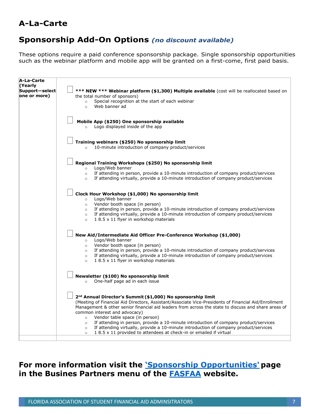### **A-La-Carte**

### **Sponsorship Add-On Options** *(no discount available)*

These options require a paid conference sponsorship package. Single sponsorship opportunities such as the webinar platform and mobile app will be granted on a first-come, first paid basis.

| A-La-Carte                                |                                                                                                                                                                                                                                                                                                                                                                                                                                                                                                                                                                                                                                                            |
|-------------------------------------------|------------------------------------------------------------------------------------------------------------------------------------------------------------------------------------------------------------------------------------------------------------------------------------------------------------------------------------------------------------------------------------------------------------------------------------------------------------------------------------------------------------------------------------------------------------------------------------------------------------------------------------------------------------|
| (Yearly<br>Support-select<br>one or more) | *** NEW *** Webinar platform (\$1,300) Multiple available (cost will be reallocated based on<br>the total number of sponsors)<br>Special recognition at the start of each webinar<br>$\circ$<br>Web banner ad<br>$\circ$                                                                                                                                                                                                                                                                                                                                                                                                                                   |
|                                           | Mobile App (\$250) One sponsorship available<br>Logo displayed inside of the app<br>$\circ$                                                                                                                                                                                                                                                                                                                                                                                                                                                                                                                                                                |
|                                           | Training webinars (\$250) No sponsorship limit<br>10-minute introduction of company product/services<br>$\circ$                                                                                                                                                                                                                                                                                                                                                                                                                                                                                                                                            |
|                                           | Regional Training Workshops (\$250) No sponsorship limit<br>Logo/Web banner<br>$\circ$                                                                                                                                                                                                                                                                                                                                                                                                                                                                                                                                                                     |
|                                           | If attending in person, provide a 10-minute introduction of company product/services<br>$\circ$<br>If attending virtually, provide a 10-minute introduction of company product/services<br>$\circ$                                                                                                                                                                                                                                                                                                                                                                                                                                                         |
|                                           | Clock Hour Workshop (\$1,000) No sponsorship limit<br>Logo/Web banner<br>$\circ$<br>Vendor booth space (in person)<br>$\circ$<br>If attending in person, provide a 10-minute introduction of company product/services<br>$\circ$<br>If attending virtually, provide a 10-minute introduction of company product/services<br>$\circ$<br>18.5 x 11 flyer in workshop materials<br>$\circ$                                                                                                                                                                                                                                                                    |
|                                           | New Aid/Intermediate Aid Officer Pre-Conference Workshop (\$1,000)<br>Logo/Web banner<br>$\circ$<br>Vendor booth space (in person)<br>$\circ$<br>If attending in person, provide a 10-minute introduction of company product/services<br>$\circ$<br>If attending virtually, provide a 10-minute introduction of company product/services<br>$\circ$<br>1 8.5 x 11 flyer in workshop materials<br>$\circ$                                                                                                                                                                                                                                                   |
|                                           | Newsletter (\$100) No sponsorship limit<br>One-half page ad in each issue<br>$\circ$                                                                                                                                                                                                                                                                                                                                                                                                                                                                                                                                                                       |
|                                           | 2 <sup>nd</sup> Annual Director's Summit (\$1,000) No sponsorship limit<br>(Meeting of Financial Aid Directors, Assistant/Associate Vice-Presidents of Financial Aid/Enrollment<br>Management & other senior financial aid leaders from across the state to discuss and share areas of<br>common interest and advocacy)<br>Vendor table space (in person)<br>$\circ$<br>If attending in person, provide a 10-minute introduction of company product/services<br>$\circ$<br>If attending virtually, provide a 10-minute introduction of company product/services<br>$\circ$<br>18.5 x 11 provided to attendees at check-in or emailed if virtual<br>$\circ$ |

**For more information visit the ['Sponsorship Opportunities'](https://fasfaa.memberclicks.net/business-partners-sponsorship-opportunities) page in the Busines Partners menu of the [FASFAA](http://www.fasfaa.org/) website.**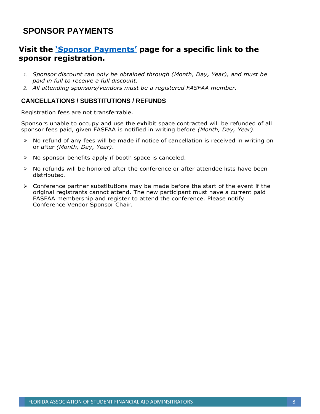### <span id="page-8-0"></span>**SPONSOR PAYMENTS**

### **Visit the '[Sponsor Payments](https://fasfaa.memberclicks.net/sponsor-payments)' page for a specific link to the sponsor registration.**

- *1. Sponsor discount can only be obtained through (Month, Day, Year), and must be paid in full to receive a full discount.*
- *2. All attending sponsors/vendors must be a registered FASFAA member.*

### <span id="page-8-1"></span>**CANCELLATIONS / SUBSTITUTIONS / REFUNDS**

Registration fees are not transferrable.

Sponsors unable to occupy and use the exhibit space contracted will be refunded of all sponsor fees paid, given FASFAA is notified in writing before *(Month, Day, Year)*.

- ➢ No refund of any fees will be made if notice of cancellation is received in writing on or after *(Month, Day, Year)*.
- ➢ No sponsor benefits apply if booth space is canceled.
- $\triangleright$  No refunds will be honored after the conference or after attendee lists have been distributed.
- $\triangleright$  Conference partner substitutions may be made before the start of the event if the original registrants cannot attend. The new participant must have a current paid FASFAA membership and register to attend the conference. Please notify Conference Vendor Sponsor Chair.